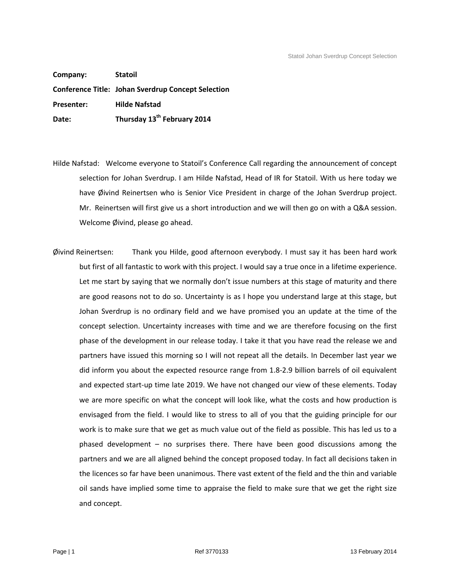**Company: Statoil Conference Title: Johan Sverdrup Concept Selection Presenter: Hilde Nafstad Date: Thursday 13th February 2014**

- Hilde Nafstad: Welcome everyone to Statoil's Conference Call regarding the announcement of concept selection for Johan Sverdrup. I am Hilde Nafstad, Head of IR for Statoil. With us here today we have Øivind Reinertsen who is Senior Vice President in charge of the Johan Sverdrup project. Mr. Reinertsen will first give us a short introduction and we will then go on with a Q&A session. Welcome Øivind, please go ahead.
- Øivind Reinertsen: Thank you Hilde, good afternoon everybody. I must say it has been hard work but first of all fantastic to work with this project. I would say a true once in a lifetime experience. Let me start by saying that we normally don't issue numbers at this stage of maturity and there are good reasons not to do so. Uncertainty is as I hope you understand large at this stage, but Johan Sverdrup is no ordinary field and we have promised you an update at the time of the concept selection. Uncertainty increases with time and we are therefore focusing on the first phase of the development in our release today. I take it that you have read the release we and partners have issued this morning so I will not repeat all the details. In December last year we did inform you about the expected resource range from 1.8-2.9 billion barrels of oil equivalent and expected start-up time late 2019. We have not changed our view of these elements. Today we are more specific on what the concept will look like, what the costs and how production is envisaged from the field. I would like to stress to all of you that the guiding principle for our work is to make sure that we get as much value out of the field as possible. This has led us to a phased development – no surprises there. There have been good discussions among the partners and we are all aligned behind the concept proposed today. In fact all decisions taken in the licences so far have been unanimous. There vast extent of the field and the thin and variable oil sands have implied some time to appraise the field to make sure that we get the right size and concept.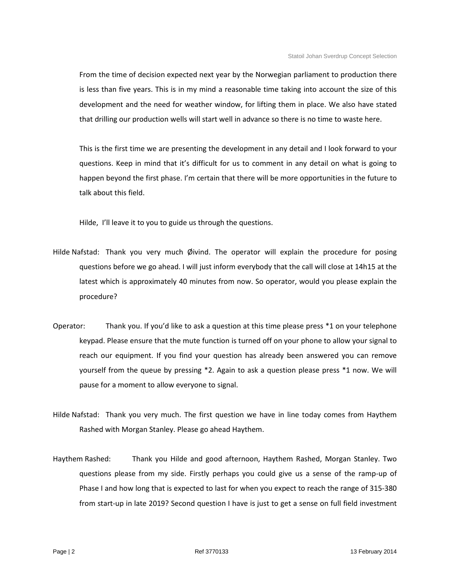From the time of decision expected next year by the Norwegian parliament to production there is less than five years. This is in my mind a reasonable time taking into account the size of this development and the need for weather window, for lifting them in place. We also have stated that drilling our production wells will start well in advance so there is no time to waste here.

This is the first time we are presenting the development in any detail and I look forward to your questions. Keep in mind that it's difficult for us to comment in any detail on what is going to happen beyond the first phase. I'm certain that there will be more opportunities in the future to talk about this field.

Hilde, I'll leave it to you to guide us through the questions.

- Hilde Nafstad: Thank you very much Øivind. The operator will explain the procedure for posing questions before we go ahead. I will just inform everybody that the call will close at 14h15 at the latest which is approximately 40 minutes from now. So operator, would you please explain the procedure?
- Operator: Thank you. If you'd like to ask a question at this time please press \*1 on your telephone keypad. Please ensure that the mute function is turned off on your phone to allow your signal to reach our equipment. If you find your question has already been answered you can remove yourself from the queue by pressing \*2. Again to ask a question please press \*1 now. We will pause for a moment to allow everyone to signal.
- Hilde Nafstad: Thank you very much. The first question we have in line today comes from Haythem Rashed with Morgan Stanley. Please go ahead Haythem.
- Haythem Rashed: Thank you Hilde and good afternoon, Haythem Rashed, Morgan Stanley. Two questions please from my side. Firstly perhaps you could give us a sense of the ramp-up of Phase I and how long that is expected to last for when you expect to reach the range of 315-380 from start-up in late 2019? Second question I have is just to get a sense on full field investment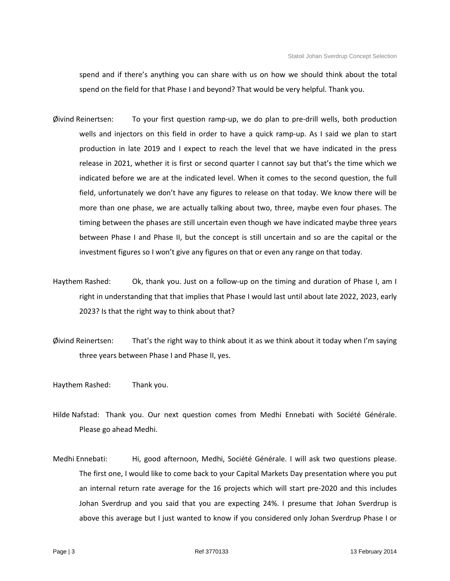spend and if there's anything you can share with us on how we should think about the total spend on the field for that Phase I and beyond? That would be very helpful. Thank you.

- Øivind Reinertsen: To your first question ramp-up, we do plan to pre-drill wells, both production wells and injectors on this field in order to have a quick ramp-up. As I said we plan to start production in late 2019 and I expect to reach the level that we have indicated in the press release in 2021, whether it is first or second quarter I cannot say but that's the time which we indicated before we are at the indicated level. When it comes to the second question, the full field, unfortunately we don't have any figures to release on that today. We know there will be more than one phase, we are actually talking about two, three, maybe even four phases. The timing between the phases are still uncertain even though we have indicated maybe three years between Phase I and Phase II, but the concept is still uncertain and so are the capital or the investment figures so I won't give any figures on that or even any range on that today.
- Haythem Rashed: Ok, thank you. Just on a follow-up on the timing and duration of Phase I, am I right in understanding that that implies that Phase I would last until about late 2022, 2023, early 2023? Is that the right way to think about that?
- Øivind Reinertsen: That's the right way to think about it as we think about it today when I'm saying three years between Phase I and Phase II, yes.
- Haythem Rashed: Thank you.
- Hilde Nafstad: Thank you. Our next question comes from Medhi Ennebati with Société Générale. Please go ahead Medhi.
- Medhi Ennebati: Hi, good afternoon, Medhi, Société Générale. I will ask two questions please. The first one, I would like to come back to your Capital Markets Day presentation where you put an internal return rate average for the 16 projects which will start pre-2020 and this includes Johan Sverdrup and you said that you are expecting 24%. I presume that Johan Sverdrup is above this average but I just wanted to know if you considered only Johan Sverdrup Phase I or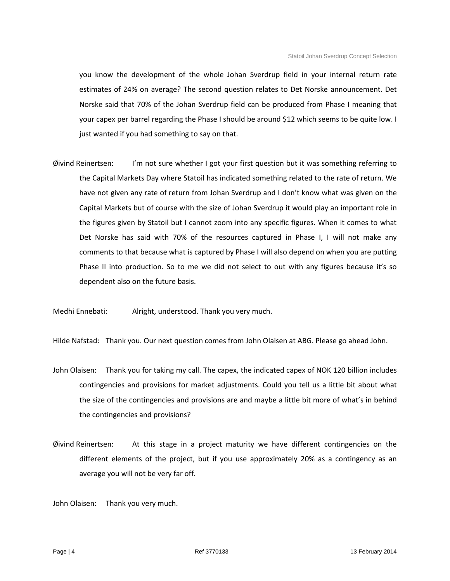you know the development of the whole Johan Sverdrup field in your internal return rate estimates of 24% on average? The second question relates to Det Norske announcement. Det Norske said that 70% of the Johan Sverdrup field can be produced from Phase I meaning that your capex per barrel regarding the Phase I should be around \$12 which seems to be quite low. I just wanted if you had something to say on that.

Øivind Reinertsen: I'm not sure whether I got your first question but it was something referring to the Capital Markets Day where Statoil has indicated something related to the rate of return. We have not given any rate of return from Johan Sverdrup and I don't know what was given on the Capital Markets but of course with the size of Johan Sverdrup it would play an important role in the figures given by Statoil but I cannot zoom into any specific figures. When it comes to what Det Norske has said with 70% of the resources captured in Phase I, I will not make any comments to that because what is captured by Phase I will also depend on when you are putting Phase II into production. So to me we did not select to out with any figures because it's so dependent also on the future basis.

Medhi Ennebati: Alright, understood. Thank you very much.

Hilde Nafstad: Thank you. Our next question comes from John Olaisen at ABG. Please go ahead John.

- John Olaisen: Thank you for taking my call. The capex, the indicated capex of NOK 120 billion includes contingencies and provisions for market adjustments. Could you tell us a little bit about what the size of the contingencies and provisions are and maybe a little bit more of what's in behind the contingencies and provisions?
- Øivind Reinertsen: At this stage in a project maturity we have different contingencies on the different elements of the project, but if you use approximately 20% as a contingency as an average you will not be very far off.

John Olaisen: Thank you very much.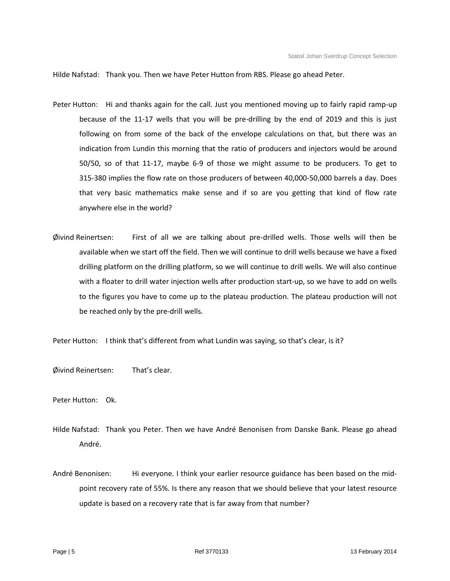Hilde Nafstad: Thank you. Then we have Peter Hutton from RBS. Please go ahead Peter.

- Peter Hutton: Hi and thanks again for the call. Just you mentioned moving up to fairly rapid ramp-up because of the 11-17 wells that you will be pre-drilling by the end of 2019 and this is just following on from some of the back of the envelope calculations on that, but there was an indication from Lundin this morning that the ratio of producers and injectors would be around 50/50, so of that 11-17, maybe 6-9 of those we might assume to be producers. To get to 315-380 implies the flow rate on those producers of between 40,000-50,000 barrels a day. Does that very basic mathematics make sense and if so are you getting that kind of flow rate anywhere else in the world?
- Øivind Reinertsen: First of all we are talking about pre-drilled wells. Those wells will then be available when we start off the field. Then we will continue to drill wells because we have a fixed drilling platform on the drilling platform, so we will continue to drill wells. We will also continue with a floater to drill water injection wells after production start-up, so we have to add on wells to the figures you have to come up to the plateau production. The plateau production will not be reached only by the pre-drill wells.

Peter Hutton: I think that's different from what Lundin was saying, so that's clear, is it?

Øivind Reinertsen: That's clear.

Peter Hutton: Ok.

- Hilde Nafstad: Thank you Peter. Then we have André Benonisen from Danske Bank. Please go ahead André.
- André Benonisen: Hi everyone. I think your earlier resource guidance has been based on the midpoint recovery rate of 55%. Is there any reason that we should believe that your latest resource update is based on a recovery rate that is far away from that number?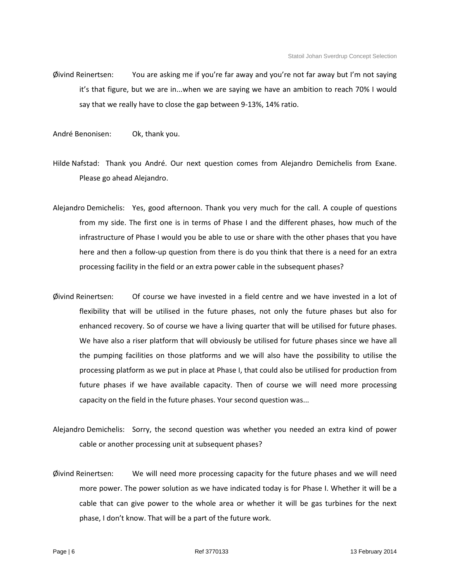- Øivind Reinertsen: You are asking me if you're far away and you're not far away but I'm not saying it's that figure, but we are in...when we are saying we have an ambition to reach 70% I would say that we really have to close the gap between 9-13%, 14% ratio.
- André Benonisen: Ok, thank you.
- Hilde Nafstad: Thank you André. Our next question comes from Alejandro Demichelis from Exane. Please go ahead Alejandro.
- Alejandro Demichelis: Yes, good afternoon. Thank you very much for the call. A couple of questions from my side. The first one is in terms of Phase I and the different phases, how much of the infrastructure of Phase I would you be able to use or share with the other phases that you have here and then a follow-up question from there is do you think that there is a need for an extra processing facility in the field or an extra power cable in the subsequent phases?
- Øivind Reinertsen: Of course we have invested in a field centre and we have invested in a lot of flexibility that will be utilised in the future phases, not only the future phases but also for enhanced recovery. So of course we have a living quarter that will be utilised for future phases. We have also a riser platform that will obviously be utilised for future phases since we have all the pumping facilities on those platforms and we will also have the possibility to utilise the processing platform as we put in place at Phase I, that could also be utilised for production from future phases if we have available capacity. Then of course we will need more processing capacity on the field in the future phases. Your second question was...
- Alejandro Demichelis: Sorry, the second question was whether you needed an extra kind of power cable or another processing unit at subsequent phases?
- Øivind Reinertsen: We will need more processing capacity for the future phases and we will need more power. The power solution as we have indicated today is for Phase I. Whether it will be a cable that can give power to the whole area or whether it will be gas turbines for the next phase, I don't know. That will be a part of the future work.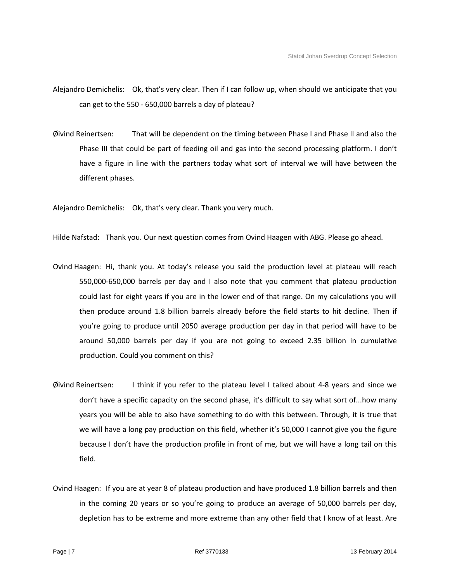Alejandro Demichelis: Ok, that's very clear. Then if I can follow up, when should we anticipate that you can get to the 550 - 650,000 barrels a day of plateau?

Øivind Reinertsen: That will be dependent on the timing between Phase I and Phase II and also the Phase III that could be part of feeding oil and gas into the second processing platform. I don't have a figure in line with the partners today what sort of interval we will have between the different phases.

Alejandro Demichelis: Ok, that's very clear. Thank you very much.

Hilde Nafstad: Thank you. Our next question comes from Ovind Haagen with ABG. Please go ahead.

- Ovind Haagen: Hi, thank you. At today's release you said the production level at plateau will reach 550,000-650,000 barrels per day and I also note that you comment that plateau production could last for eight years if you are in the lower end of that range. On my calculations you will then produce around 1.8 billion barrels already before the field starts to hit decline. Then if you're going to produce until 2050 average production per day in that period will have to be around 50,000 barrels per day if you are not going to exceed 2.35 billion in cumulative production. Could you comment on this?
- Øivind Reinertsen: I think if you refer to the plateau level I talked about 4-8 years and since we don't have a specific capacity on the second phase, it's difficult to say what sort of...how many years you will be able to also have something to do with this between. Through, it is true that we will have a long pay production on this field, whether it's 50,000 I cannot give you the figure because I don't have the production profile in front of me, but we will have a long tail on this field.
- Ovind Haagen: If you are at year 8 of plateau production and have produced 1.8 billion barrels and then in the coming 20 years or so you're going to produce an average of 50,000 barrels per day, depletion has to be extreme and more extreme than any other field that I know of at least. Are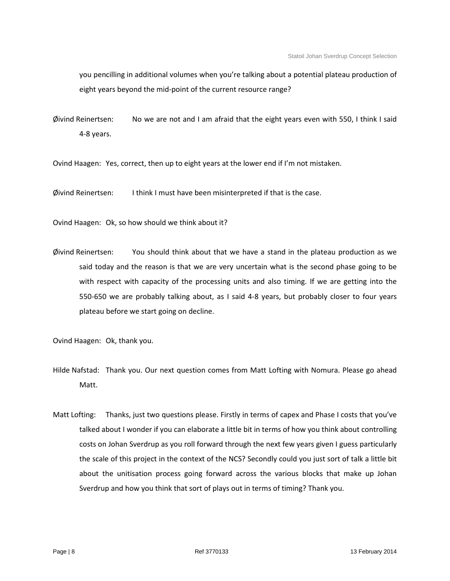you pencilling in additional volumes when you're talking about a potential plateau production of eight years beyond the mid-point of the current resource range?

Øivind Reinertsen: No we are not and I am afraid that the eight years even with 550, I think I said 4-8 years.

Ovind Haagen: Yes, correct, then up to eight years at the lower end if I'm not mistaken.

Øivind Reinertsen: I think I must have been misinterpreted if that is the case.

Ovind Haagen: Ok, so how should we think about it?

Øivind Reinertsen: You should think about that we have a stand in the plateau production as we said today and the reason is that we are very uncertain what is the second phase going to be with respect with capacity of the processing units and also timing. If we are getting into the 550-650 we are probably talking about, as I said 4-8 years, but probably closer to four years plateau before we start going on decline.

Ovind Haagen: Ok, thank you.

- Hilde Nafstad: Thank you. Our next question comes from Matt Lofting with Nomura. Please go ahead Matt.
- Matt Lofting: Thanks, just two questions please. Firstly in terms of capex and Phase I costs that you've talked about I wonder if you can elaborate a little bit in terms of how you think about controlling costs on Johan Sverdrup as you roll forward through the next few years given I guess particularly the scale of this project in the context of the NCS? Secondly could you just sort of talk a little bit about the unitisation process going forward across the various blocks that make up Johan Sverdrup and how you think that sort of plays out in terms of timing? Thank you.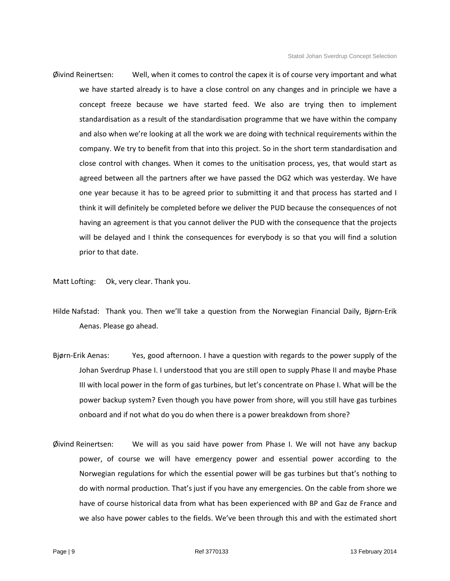Øivind Reinertsen: Well, when it comes to control the capex it is of course very important and what we have started already is to have a close control on any changes and in principle we have a concept freeze because we have started feed. We also are trying then to implement standardisation as a result of the standardisation programme that we have within the company and also when we're looking at all the work we are doing with technical requirements within the company. We try to benefit from that into this project. So in the short term standardisation and close control with changes. When it comes to the unitisation process, yes, that would start as agreed between all the partners after we have passed the DG2 which was yesterday. We have one year because it has to be agreed prior to submitting it and that process has started and I think it will definitely be completed before we deliver the PUD because the consequences of not having an agreement is that you cannot deliver the PUD with the consequence that the projects will be delayed and I think the consequences for everybody is so that you will find a solution prior to that date.

Matt Lofting: Ok, very clear. Thank you.

- Hilde Nafstad: Thank you. Then we'll take a question from the Norwegian Financial Daily, Bjørn-Erik Aenas. Please go ahead.
- Bjørn-Erik Aenas: Yes, good afternoon. I have a question with regards to the power supply of the Johan Sverdrup Phase I. I understood that you are still open to supply Phase II and maybe Phase III with local power in the form of gas turbines, but let's concentrate on Phase I. What will be the power backup system? Even though you have power from shore, will you still have gas turbines onboard and if not what do you do when there is a power breakdown from shore?
- Øivind Reinertsen: We will as you said have power from Phase I. We will not have any backup power, of course we will have emergency power and essential power according to the Norwegian regulations for which the essential power will be gas turbines but that's nothing to do with normal production. That's just if you have any emergencies. On the cable from shore we have of course historical data from what has been experienced with BP and Gaz de France and we also have power cables to the fields. We've been through this and with the estimated short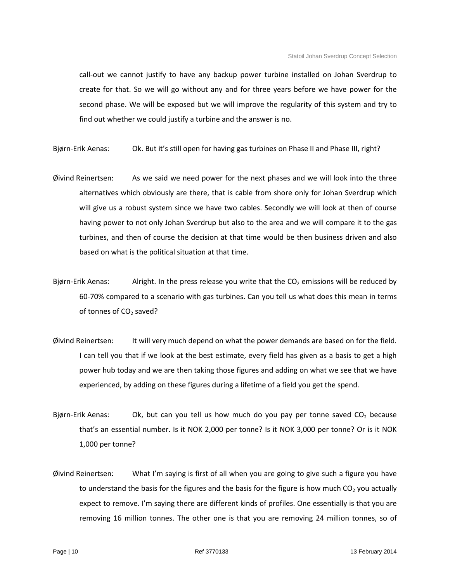call-out we cannot justify to have any backup power turbine installed on Johan Sverdrup to create for that. So we will go without any and for three years before we have power for the second phase. We will be exposed but we will improve the regularity of this system and try to find out whether we could justify a turbine and the answer is no.

Bjørn-Erik Aenas: Ok. But it's still open for having gas turbines on Phase II and Phase III, right?

- Øivind Reinertsen: As we said we need power for the next phases and we will look into the three alternatives which obviously are there, that is cable from shore only for Johan Sverdrup which will give us a robust system since we have two cables. Secondly we will look at then of course having power to not only Johan Sverdrup but also to the area and we will compare it to the gas turbines, and then of course the decision at that time would be then business driven and also based on what is the political situation at that time.
- Bjørn-Erik Aenas: Alright. In the press release you write that the  $CO<sub>2</sub>$  emissions will be reduced by 60-70% compared to a scenario with gas turbines. Can you tell us what does this mean in terms of tonnes of  $CO<sub>2</sub>$  saved?
- Øivind Reinertsen: It will very much depend on what the power demands are based on for the field. I can tell you that if we look at the best estimate, every field has given as a basis to get a high power hub today and we are then taking those figures and adding on what we see that we have experienced, by adding on these figures during a lifetime of a field you get the spend.
- Bjørn-Erik Aenas: Ok, but can you tell us how much do you pay per tonne saved  $CO<sub>2</sub>$  because that's an essential number. Is it NOK 2,000 per tonne? Is it NOK 3,000 per tonne? Or is it NOK 1,000 per tonne?
- Øivind Reinertsen: What I'm saying is first of all when you are going to give such a figure you have to understand the basis for the figures and the basis for the figure is how much  $CO<sub>2</sub>$  you actually expect to remove. I'm saying there are different kinds of profiles. One essentially is that you are removing 16 million tonnes. The other one is that you are removing 24 million tonnes, so of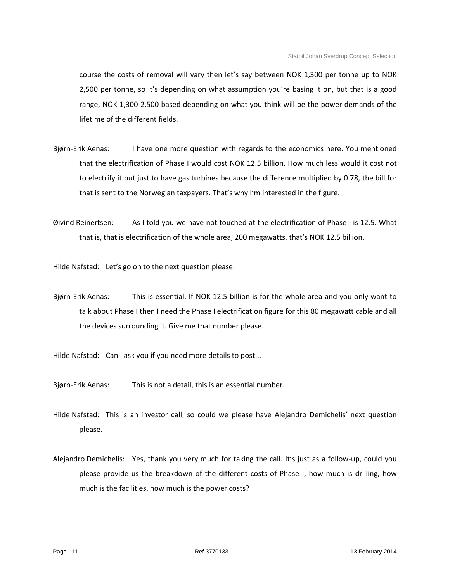course the costs of removal will vary then let's say between NOK 1,300 per tonne up to NOK 2,500 per tonne, so it's depending on what assumption you're basing it on, but that is a good range, NOK 1,300-2,500 based depending on what you think will be the power demands of the lifetime of the different fields.

- Bjørn-Erik Aenas: I have one more question with regards to the economics here. You mentioned that the electrification of Phase I would cost NOK 12.5 billion. How much less would it cost not to electrify it but just to have gas turbines because the difference multiplied by 0.78, the bill for that is sent to the Norwegian taxpayers. That's why I'm interested in the figure.
- Øivind Reinertsen: As I told you we have not touched at the electrification of Phase I is 12.5. What that is, that is electrification of the whole area, 200 megawatts, that's NOK 12.5 billion.

Hilde Nafstad: Let's go on to the next question please.

Bjørn-Erik Aenas: This is essential. If NOK 12.5 billion is for the whole area and you only want to talk about Phase I then I need the Phase I electrification figure for this 80 megawatt cable and all the devices surrounding it. Give me that number please.

Hilde Nafstad: Can I ask you if you need more details to post...

Bjørn-Erik Aenas: This is not a detail, this is an essential number.

- Hilde Nafstad: This is an investor call, so could we please have Alejandro Demichelis' next question please.
- Alejandro Demichelis: Yes, thank you very much for taking the call. It's just as a follow-up, could you please provide us the breakdown of the different costs of Phase I, how much is drilling, how much is the facilities, how much is the power costs?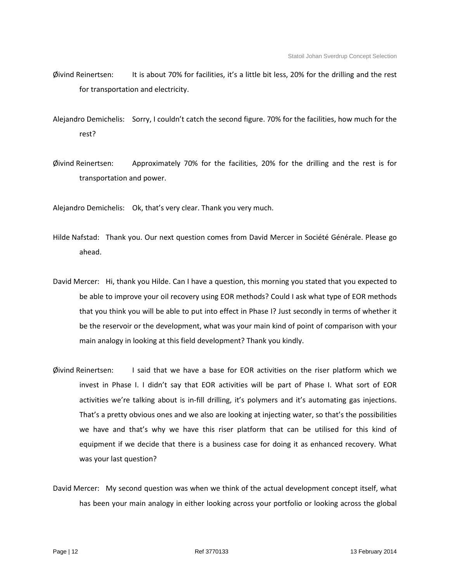- Øivind Reinertsen: It is about 70% for facilities, it's a little bit less, 20% for the drilling and the rest for transportation and electricity.
- Alejandro Demichelis: Sorry, I couldn't catch the second figure. 70% for the facilities, how much for the rest?
- Øivind Reinertsen: Approximately 70% for the facilities, 20% for the drilling and the rest is for transportation and power.

Alejandro Demichelis: Ok, that's very clear. Thank you very much.

- Hilde Nafstad: Thank you. Our next question comes from David Mercer in Société Générale. Please go ahead.
- David Mercer: Hi, thank you Hilde. Can I have a question, this morning you stated that you expected to be able to improve your oil recovery using EOR methods? Could I ask what type of EOR methods that you think you will be able to put into effect in Phase I? Just secondly in terms of whether it be the reservoir or the development, what was your main kind of point of comparison with your main analogy in looking at this field development? Thank you kindly.
- Øivind Reinertsen: I said that we have a base for EOR activities on the riser platform which we invest in Phase I. I didn't say that EOR activities will be part of Phase I. What sort of EOR activities we're talking about is in-fill drilling, it's polymers and it's automating gas injections. That's a pretty obvious ones and we also are looking at injecting water, so that's the possibilities we have and that's why we have this riser platform that can be utilised for this kind of equipment if we decide that there is a business case for doing it as enhanced recovery. What was your last question?
- David Mercer: My second question was when we think of the actual development concept itself, what has been your main analogy in either looking across your portfolio or looking across the global